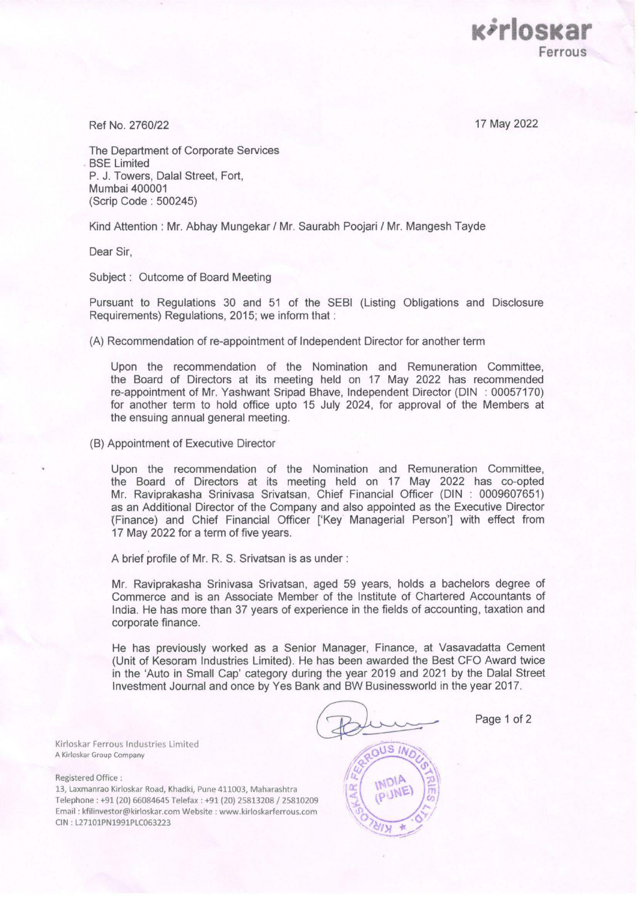17 May 2022

*<u>Kirloskai</u>* 

**Ferrous** 

Ref No. 2760/22

The Department of Corporate Services BSE Limited P. J. Towers, Dalal Street, Fort, Mumbai 400001 (Scrip Code : 500245)

Kind Attention : Mr. Abhay Mungekar / Mr. Saurabh Poojari / Mr. Mangesh Tayde

Dear Sir,

Subject : Outcome of Board Meeting

Pursuant to Regulations 30 and 51 of the SEBI (Listing Obligations and Disclosure Requirements) Regulations, 2015; we inform that :

(A) Recommendation of re-appointment of Independent Director for another term

Upon the recommendation of the Nomination and Remuneration Committee, the Board of Directors at its meeting held on 17 May 2022 has recommended re-appointment of Mr. Yashwant Sripad Shave, Independent Director (DIN : 00057170) for another term to hold office upto 15 July 2024, for approval of the Members at the ensuing annual general meeting.

(B) Appointment of Executive Director

Upon the recommendation of the Nomination and Remuneration Committee, the Board of Directors at its meeting held on 17 May 2022 has co-opted Mr. Raviprakasha Srinivasa Srivatsan, Chief Financial Officer (DIN : 0009607651) as an Additional Director of the Company and also appointed as the Executive Director (Finance) and Chief Financial Officer ['Key' Managerial Person'] with effect from 17 May 2022 for a term of five years.

A brief profile of Mr. R. S. Srivatsan is as under :

Mr. Raviprakasha Srinivasa Srivatsan, aged 59 years, holds a bachelors degree of Commerce and is an Associate Member of the Institute of Chartered Accountants of India. He has more than 37 years of experience in the fields of accounting, taxation and corporate finance.

He has previously worked as a Senior Manager, Finance, at Vasavadatta Cement (Unit of Kesoram Industries Limited). He has been awarded the Best CFO Award twice in the 'Auto in Small Cap' category during the year 2019 and 2021 by the Dalal Street Investment Journal and once by Yes Bank and BW Businessworld in the year 2017.

Page 1 of 2

Kirloskar Ferrous Industries Limited A Kirloskar Group Company

Registered Office :

13, Laxmanrao Kirloskar Road, Khadki, Pune 411003, Maharashtra Telephone : +91 (20) 66084645 Telefax : +91 (20) 25813208 / 25810209 Email : kfilinvestor@kirloskar.com Website : www.kirloskarferrous.com CIN : L27101PN1991PLC063223